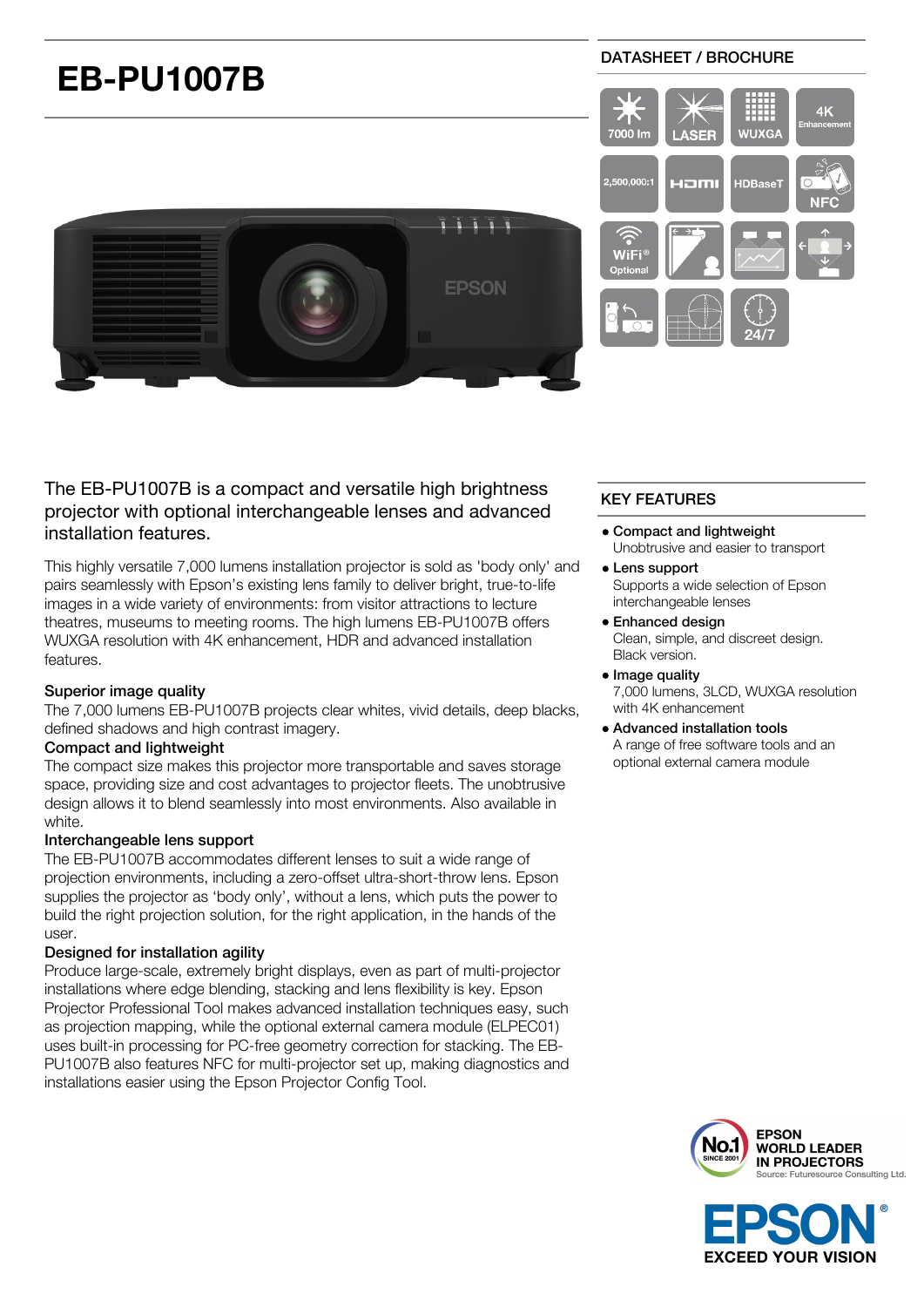

# The EB-PU1007B is a compact and versatile high brightness projector with optional interchangeable lenses and advanced installation features.

This highly versatile 7,000 lumens installation projector is sold as 'body only' and pairs seamlessly with Epson's existing lens family to deliver bright, true-to-life images in a wide variety of environments: from visitor attractions to lecture theatres, museums to meeting rooms. The high lumens EB-PU1007B offers WUXGA resolution with 4K enhancement, HDR and advanced installation features.

## Superior image quality

The 7,000 lumens EB-PU1007B projects clear whites, vivid details, deep blacks, defined shadows and high contrast imagery.

## Compact and lightweight

The compact size makes this projector more transportable and saves storage space, providing size and cost advantages to projector fleets. The unobtrusive design allows it to blend seamlessly into most environments. Also available in white.

## Interchangeable lens support

The EB-PU1007B accommodates different lenses to suit a wide range of projection environments, including a zero-offset ultra-short-throw lens. Epson supplies the projector as 'body only', without a lens, which puts the power to build the right projection solution, for the right application, in the hands of the user.

## Designed for installation agility

Produce large-scale, extremely bright displays, even as part of multi-projector installations where edge blending, stacking and lens flexibility is key. Epson Projector Professional Tool makes advanced installation techniques easy, such as projection mapping, while the optional external camera module (ELPEC01) uses built-in processing for PC-free geometry correction for stacking. The EB-PU1007B also features NFC for multi-projector set up, making diagnostics and installations easier using the Epson Projector Config Tool.

# KEY FEATURES

- Compact and lightweight Unobtrusive and easier to transport
- Lens support Supports a wide selection of Epson interchangeable lenses
- Enhanced design

Clean, simple, and discreet design. Black version.

• Image quality

7,000 lumens, 3LCD, WUXGA resolution with 4K enhancement

Advanced installation tools A range of free software tools and an optional external camera module



**EXCEED YOUR VISION**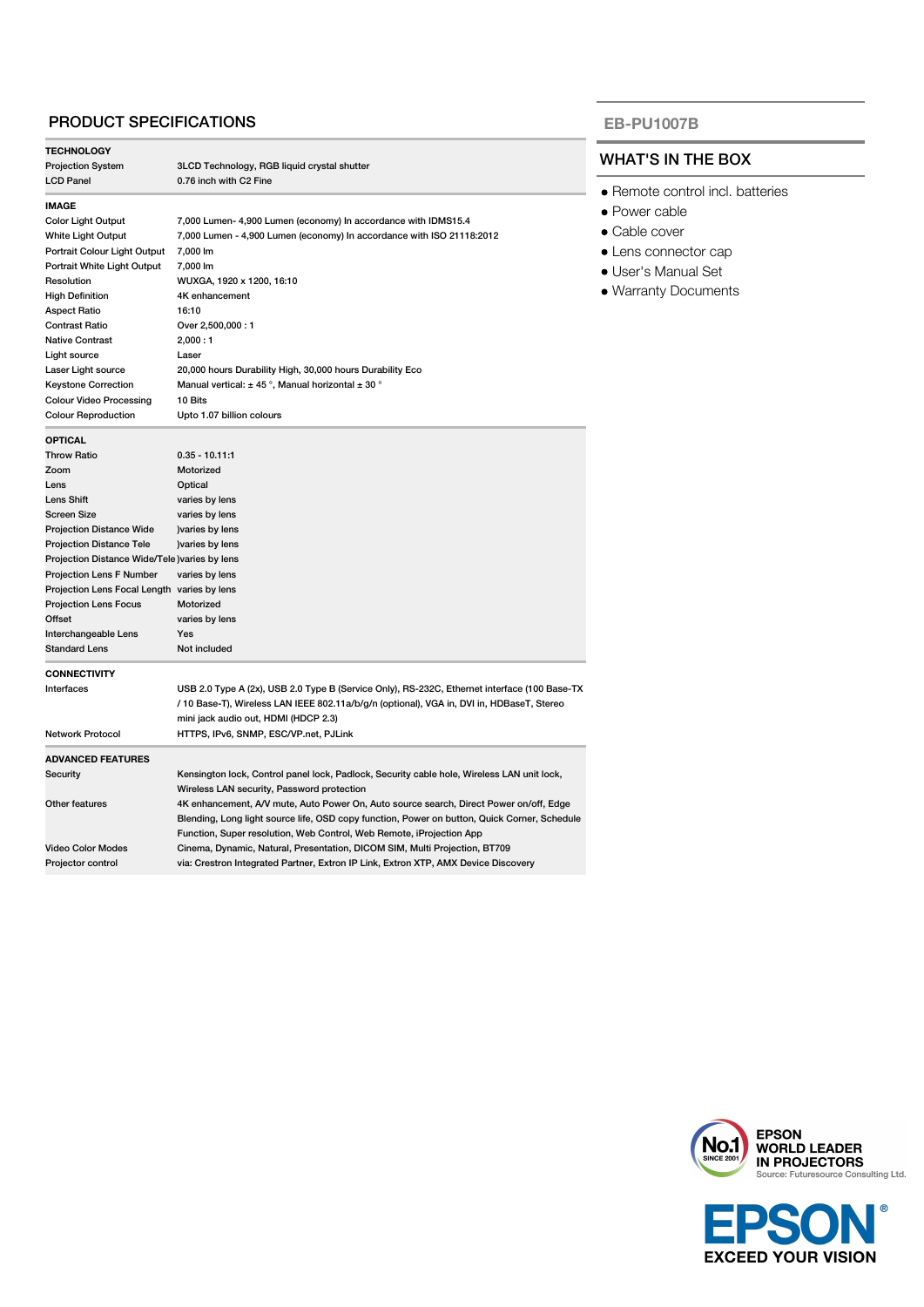## PRODUCT SPECIFICATIONS

| <b>TECHNOLOGY</b>                              |                                                                                              |  |
|------------------------------------------------|----------------------------------------------------------------------------------------------|--|
| <b>Projection System</b>                       | 3LCD Technology, RGB liquid crystal shutter                                                  |  |
| <b>LCD Panel</b>                               | 0.76 inch with C2 Fine                                                                       |  |
| <b>IMAGE</b>                                   |                                                                                              |  |
| <b>Color Light Output</b>                      | 7,000 Lumen- 4,900 Lumen (economy) In accordance with IDMS15.4                               |  |
| White Light Output                             | 7,000 Lumen - 4,900 Lumen (economy) In accordance with ISO 21118:2012                        |  |
| Portrait Colour Light Output                   | 7,000 lm                                                                                     |  |
| Portrait White Light Output                    | 7,000 lm                                                                                     |  |
| Resolution                                     | WUXGA, 1920 x 1200, 16:10                                                                    |  |
| <b>High Definition</b>                         | 4K enhancement                                                                               |  |
| <b>Aspect Ratio</b>                            | 16:10                                                                                        |  |
| <b>Contrast Ratio</b>                          | Over 2,500,000:1                                                                             |  |
| <b>Native Contrast</b>                         | 2,000:1                                                                                      |  |
| Light source                                   | Laser                                                                                        |  |
| Laser Light source                             | 20,000 hours Durability High, 30,000 hours Durability Eco                                    |  |
| <b>Keystone Correction</b>                     | Manual vertical: $\pm$ 45°, Manual horizontal $\pm$ 30°                                      |  |
| <b>Colour Video Processing</b>                 | 10 Bits                                                                                      |  |
| <b>Colour Reproduction</b>                     | Upto 1.07 billion colours                                                                    |  |
| <b>OPTICAL</b>                                 |                                                                                              |  |
| <b>Throw Ratio</b>                             | $0.35 - 10.11:1$                                                                             |  |
| Zoom                                           | Motorized                                                                                    |  |
| Lens                                           | Optical                                                                                      |  |
| Lens Shift                                     | varies by lens                                                                               |  |
| Screen Size                                    | varies by lens                                                                               |  |
| <b>Projection Distance Wide</b>                | ) varies by lens                                                                             |  |
| <b>Projection Distance Tele</b>                | ) varies by lens                                                                             |  |
| Projection Distance Wide/Tele ) varies by lens |                                                                                              |  |
| Projection Lens F Number                       | varies by lens                                                                               |  |
| Projection Lens Focal Length varies by lens    |                                                                                              |  |
| <b>Projection Lens Focus</b>                   | Motorized                                                                                    |  |
| Offset                                         | varies by lens                                                                               |  |
| Interchangeable Lens                           | Yes                                                                                          |  |
| <b>Standard Lens</b>                           | Not included                                                                                 |  |
| <b>CONNECTIVITY</b>                            |                                                                                              |  |
| Interfaces                                     | USB 2.0 Type A (2x), USB 2.0 Type B (Service Only), RS-232C, Ethernet interface (100 Base-TX |  |
|                                                | / 10 Base-T), Wireless LAN IEEE 802.11a/b/g/n (optional), VGA in, DVI in, HDBaseT, Stereo    |  |
|                                                | mini jack audio out, HDMI (HDCP 2.3)                                                         |  |
| <b>Network Protocol</b>                        | HTTPS, IPv6, SNMP, ESC/VP.net, PJLink                                                        |  |
| <b>ADVANCED FEATURES</b>                       |                                                                                              |  |
| Security                                       | Kensington lock, Control panel lock, Padlock, Security cable hole, Wireless LAN unit lock,   |  |
|                                                | Wireless LAN security, Password protection                                                   |  |
| Other features                                 | 4K enhancement, A/V mute, Auto Power On, Auto source search, Direct Power on/off, Edge       |  |
|                                                | Blending, Long light source life, OSD copy function, Power on button, Quick Corner, Schedule |  |
|                                                | Function, Super resolution, Web Control, Web Remote, iProjection App                         |  |
| <b>Video Color Modes</b>                       | Cinema, Dynamic, Natural, Presentation, DICOM SIM, Multi Projection, BT709                   |  |
| Projector control                              | via: Crestron Integrated Partner, Extron IP Link, Extron XTP, AMX Device Discovery           |  |

#### **EB-PU1007B**

## WHAT'S IN THE BOX

- Remote control incl. batteries
- Power cable
- Cable cover
- Lens connector cap
- User's Manual Set
- Warranty Documents



t **EXCEED YOUR VISION** 

൫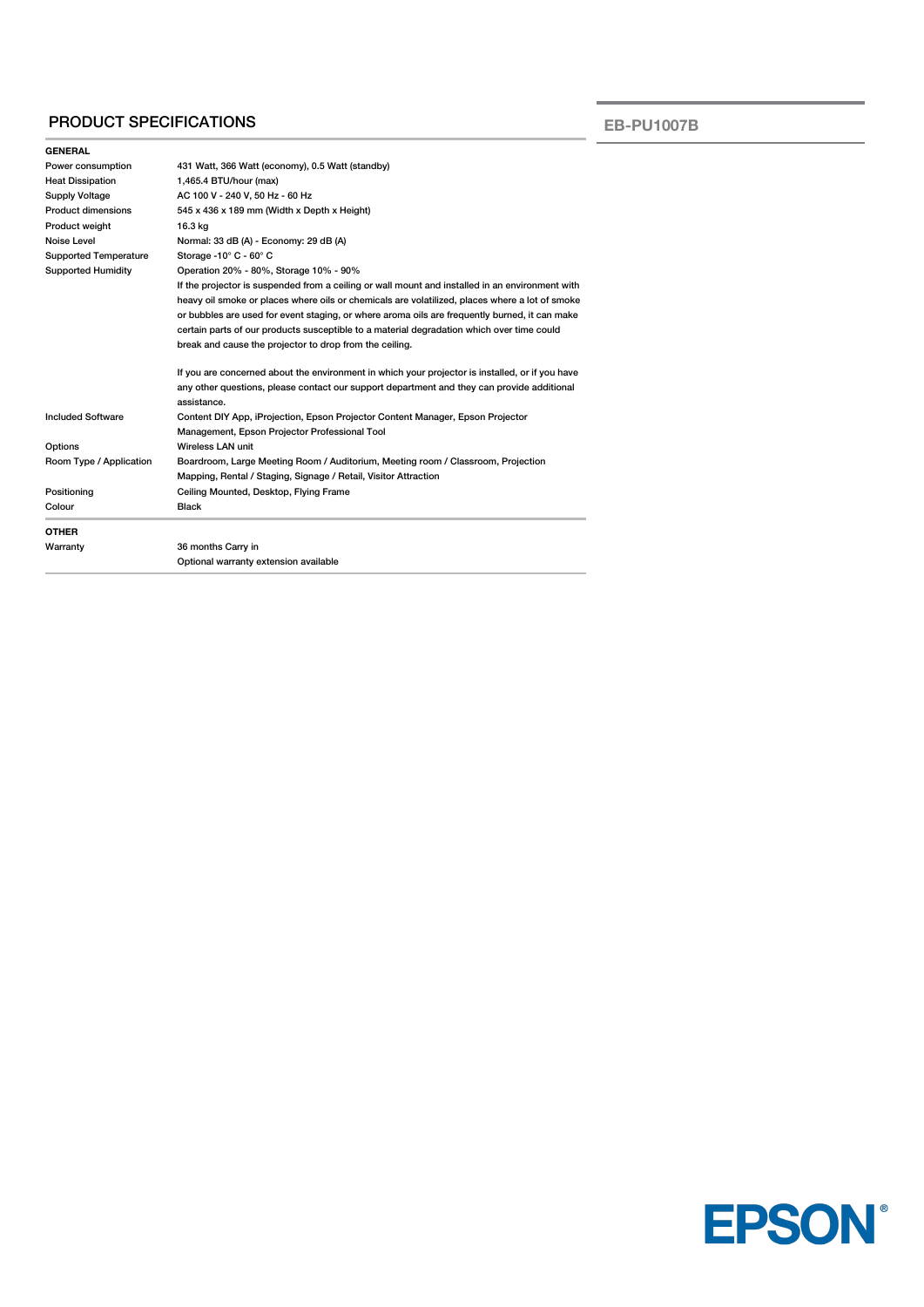## PRODUCT SPECIFICATIONS

**EB-PU1007B**

| <b>GENERAL</b>               |                                                                                                                                                                                                                                                                                                                                                                                                                                                            |  |  |
|------------------------------|------------------------------------------------------------------------------------------------------------------------------------------------------------------------------------------------------------------------------------------------------------------------------------------------------------------------------------------------------------------------------------------------------------------------------------------------------------|--|--|
| Power consumption            | 431 Watt, 366 Watt (economy), 0.5 Watt (standby)                                                                                                                                                                                                                                                                                                                                                                                                           |  |  |
| <b>Heat Dissipation</b>      | 1,465.4 BTU/hour (max)                                                                                                                                                                                                                                                                                                                                                                                                                                     |  |  |
| <b>Supply Voltage</b>        | AC 100 V - 240 V, 50 Hz - 60 Hz                                                                                                                                                                                                                                                                                                                                                                                                                            |  |  |
| Product dimensions           | 545 x 436 x 189 mm (Width x Depth x Height)                                                                                                                                                                                                                                                                                                                                                                                                                |  |  |
| Product weight               | 16.3 kg                                                                                                                                                                                                                                                                                                                                                                                                                                                    |  |  |
| Noise Level                  | Normal: 33 dB (A) - Economy: 29 dB (A)                                                                                                                                                                                                                                                                                                                                                                                                                     |  |  |
| <b>Supported Temperature</b> | Storage -10 $^{\circ}$ C - 60 $^{\circ}$ C                                                                                                                                                                                                                                                                                                                                                                                                                 |  |  |
| <b>Supported Humidity</b>    | Operation 20% - 80%, Storage 10% - 90%                                                                                                                                                                                                                                                                                                                                                                                                                     |  |  |
|                              | If the projector is suspended from a ceiling or wall mount and installed in an environment with<br>heavy oil smoke or places where oils or chemicals are volatilized, places where a lot of smoke<br>or bubbles are used for event staging, or where aroma oils are frequently burned, it can make<br>certain parts of our products susceptible to a material degradation which over time could<br>break and cause the projector to drop from the ceiling. |  |  |
|                              | If you are concerned about the environment in which your projector is installed, or if you have<br>any other questions, please contact our support department and they can provide additional<br>assistance.                                                                                                                                                                                                                                               |  |  |
| <b>Included Software</b>     | Content DIY App, iProjection, Epson Projector Content Manager, Epson Projector<br>Management, Epson Projector Professional Tool                                                                                                                                                                                                                                                                                                                            |  |  |
| Options                      | Wireless LAN unit                                                                                                                                                                                                                                                                                                                                                                                                                                          |  |  |
| Room Type / Application      | Boardroom, Large Meeting Room / Auditorium, Meeting room / Classroom, Projection<br>Mapping, Rental / Staging, Signage / Retail, Visitor Attraction                                                                                                                                                                                                                                                                                                        |  |  |
| Positioning                  | Ceiling Mounted, Desktop, Flying Frame                                                                                                                                                                                                                                                                                                                                                                                                                     |  |  |
| Colour                       | <b>Black</b>                                                                                                                                                                                                                                                                                                                                                                                                                                               |  |  |
| <b>OTHER</b>                 |                                                                                                                                                                                                                                                                                                                                                                                                                                                            |  |  |
| Warranty                     | 36 months Carry in                                                                                                                                                                                                                                                                                                                                                                                                                                         |  |  |
|                              | Optional warranty extension available                                                                                                                                                                                                                                                                                                                                                                                                                      |  |  |